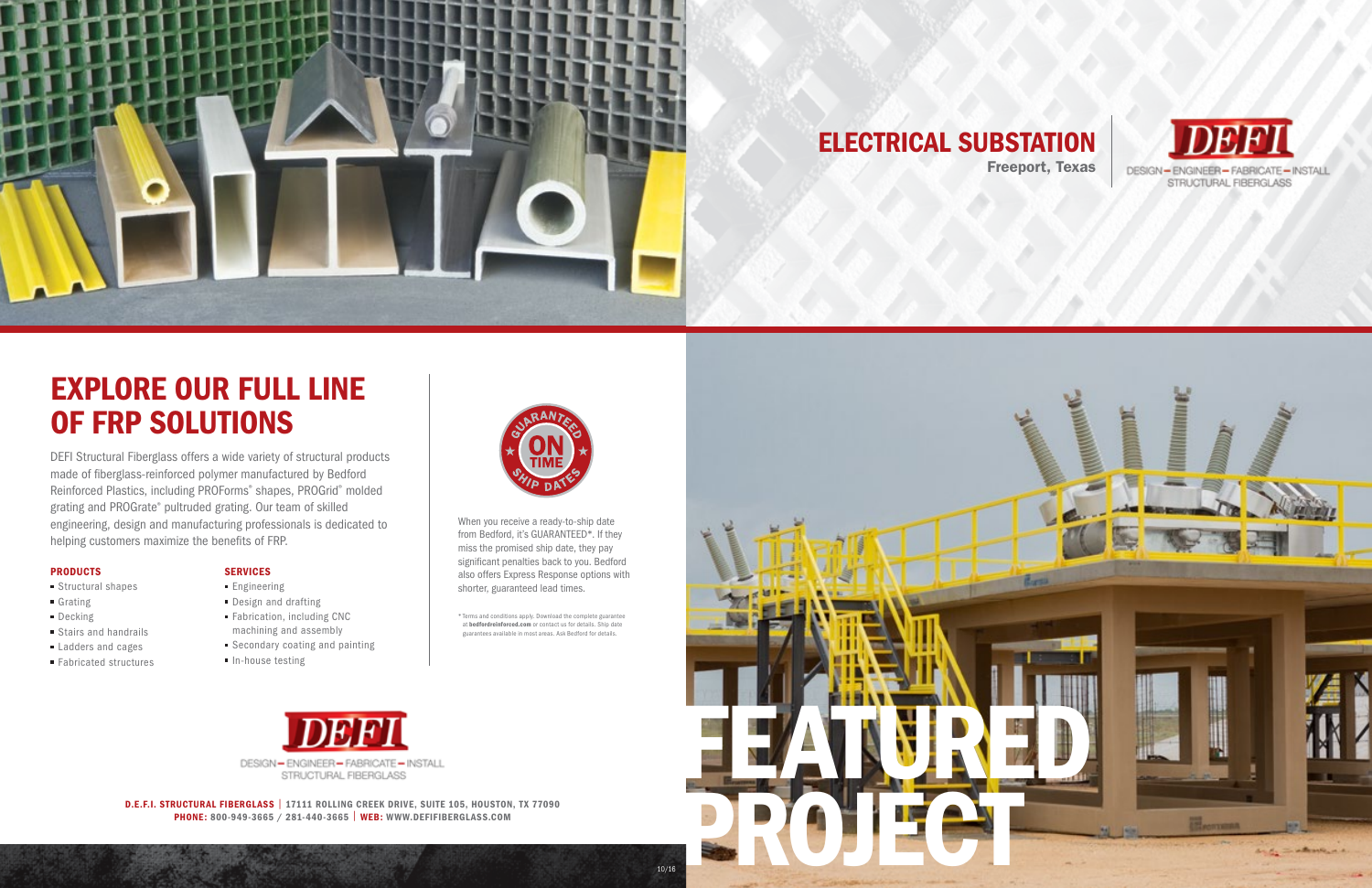

## EXPLORE OUR FULL LINE OF FRP SOLUTIONS

DEFI Structural Fiberglass offers a wide variety of structural products made of fiberglass-reinforced polymer manufactured by Bedford Reinforced Plastics, including PROForms® shapes, PROGrid® molded grating and PROGrate® pultruded grating. Our team of skilled engineering, design and manufacturing professionals is dedicated to helping customers maximize the benefits of FRP.

#### PRODUCTS

- **Structural shapes**
- Grating
- **Decking**
- **Stairs and handrails**
- Ladders and cages
- Fabricated structures

#### SERVICES

- **Engineering**
- Design and drafting
- Fabrication, including CNC machining and assembly
- Secondary coating and painting
- $\blacksquare$  In-house testing



D.E.F.I. STRUCTURAL FIBERGLASS | 17111 ROLLING CREEK DRIVE, SUITE 105, HOUSTON, TX 77090 PHONE: 800-949-3665 / 281-440-3665 | WEB: WWW.DEFIFIBERGLASS.COM

BEDFORD REINFORCED.COM • 800-377-3280-377-3280-377-3280-377-3280-377-3280-377-3280-377-3280-377-3280-377-3280-3

\* Terms and conditions apply. Download the complete guarantee at bedfordreinforced.com or contact us for details. Ship date guarantees available in most areas. Ask Bedford for details.

When you receive a ready-to-ship date from Bedford, it's GUARANTEED\*. If they miss the promised ship date, they pay significant penalties back to you. Bedford also offers Express Response options with shorter, guaranteed lead times.



## ELECTRICAL SUBSTATION





10/16